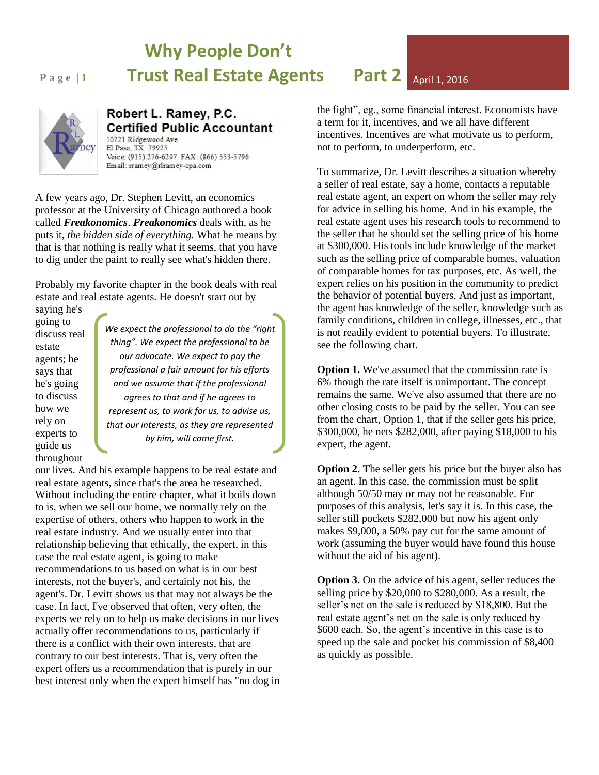## **Why People Don't Page 11 Trust Real Estate Agents Part 2** April 1, 2016

Robert L. Ramey, P.C. **Certified Public Accountant** 10221 Ridgewood Ave El Paso, TX 79925 Voice: (915) 276-6297 FAX: (866) 553-5796 Em ail: rramey@rlramey-cpa.com

A few years ago, Dr. Stephen Levitt, an economics professor at the University of Chicago authored a book called *Freakonomics*. *Freakonomics* deals with, as he puts it, *the hidden side of everything.* What he means by that is that nothing is really what it seems, that you have to dig under the paint to really see what's hidden there.

Probably my favorite chapter in the book deals with real estate and real estate agents. He doesn't start out by

saying he's going to discuss real estate agents; he says that he's going to discuss how we rely on experts to guide us throughout

*We expect the professional to do the "right thing". We expect the professional to be our advocate. We expect to pay the professional a fair amount for his efforts and we assume that if the professional agrees to that and if he agrees to represent us, to work for us, to advise us, that our interests, as they are represented by him, will come first.*

our lives. And his example happens to be real estate and real estate agents, since that's the area he researched. Without including the entire chapter, what it boils down to is, when we sell our home, we normally rely on the expertise of others, others who happen to work in the real estate industry. And we usually enter into that relationship believing that ethically, the expert, in this case the real estate agent, is going to make recommendations to us based on what is in our best interests, not the buyer's, and certainly not his, the agent's. Dr. Levitt shows us that may not always be the case. In fact, I've observed that often, very often, the experts we rely on to help us make decisions in our lives actually offer recommendations to us, particularly if there is a conflict with their own interests, that are contrary to our best interests. That is, very often the expert offers us a recommendation that is purely in our best interest only when the expert himself has "no dog in the fight", eg., some financial interest. Economists have a term for it, incentives, and we all have different incentives. Incentives are what motivate us to perform, not to perform, to underperform, etc.

To summarize, Dr. Levitt describes a situation whereby a seller of real estate, say a home, contacts a reputable real estate agent, an expert on whom the seller may rely for advice in selling his home. And in his example, the real estate agent uses his research tools to recommend to the seller that he should set the selling price of his home at \$300,000. His tools include knowledge of the market such as the selling price of comparable homes, valuation of comparable homes for tax purposes, etc. As well, the expert relies on his position in the community to predict the behavior of potential buyers. And just as important, the agent has knowledge of the seller, knowledge such as family conditions, children in college, illnesses, etc., that is not readily evident to potential buyers. To illustrate, see the following chart.

**Option 1.** We've assumed that the commission rate is 6% though the rate itself is unimportant. The concept remains the same. We've also assumed that there are no other closing costs to be paid by the seller. You can see from the chart, Option 1, that if the seller gets his price, \$300,000, he nets \$282,000, after paying \$18,000 to his expert, the agent.

**Option 2. T**he seller gets his price but the buyer also has an agent. In this case, the commission must be split although 50/50 may or may not be reasonable. For purposes of this analysis, let's say it is. In this case, the seller still pockets \$282,000 but now his agent only makes \$9,000, a 50% pay cut for the same amount of work (assuming the buyer would have found this house without the aid of his agent).

**Option 3.** On the advice of his agent, seller reduces the selling price by \$20,000 to \$280,000. As a result, the seller's net on the sale is reduced by \$18,800. But the real estate agent's net on the sale is only reduced by \$600 each. So, the agent's incentive in this case is to speed up the sale and pocket his commission of \$8,400 as quickly as possible.